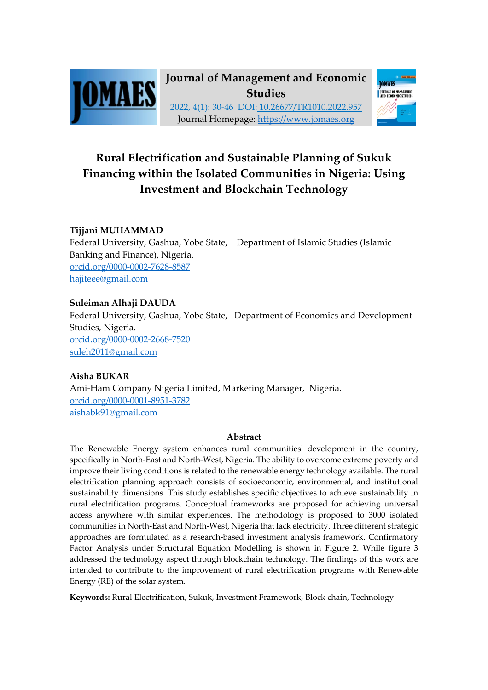



# **Rural Electrification and Sustainable Planning of Sukuk Financing within the Isolated Communities in Nigeria: Using Investment and Blockchain Technology**

## **Tijjani MUHAMMAD**

Federal University, Gashua, Yobe State, Department of Islamic Studies (Islamic Banking and Finance), Nigeria. orcid.org/0000-0002-7628-8587 hajiteee@gmail.com

## **Suleiman Alhaji DAUDA**

Federal University, Gashua, Yobe State, Department of Economics and Development Studies, Nigeria. orcid.org/0000-0002-2668-7520 suleh2011@gmail.com

## **Aisha BUKAR**

Ami-Ham Company Nigeria Limited, Marketing Manager, Nigeria. orcid.org/0000-0001-8951-3782 aishabk91@gmail.com

## **Abstract**

The Renewable Energy system enhances rural communities' development in the country, specifically in North-East and North-West, Nigeria. The ability to overcome extreme poverty and improve their living conditions is related to the renewable energy technology available. The rural electrification planning approach consists of socioeconomic, environmental, and institutional sustainability dimensions. This study establishes specific objectives to achieve sustainability in rural electrification programs. Conceptual frameworks are proposed for achieving universal access anywhere with similar experiences. The methodology is proposed to 3000 isolated communities in North-East and North-West, Nigeria that lack electricity. Three different strategic approaches are formulated as a research-based investment analysis framework. Confirmatory Factor Analysis under Structural Equation Modelling is shown in Figure 2. While figure 3 addressed the technology aspect through blockchain technology. The findings of this work are intended to contribute to the improvement of rural electrification programs with Renewable Energy (RE) of the solar system.

**Keywords:** Rural Electrification, Sukuk, Investment Framework, Block chain, Technology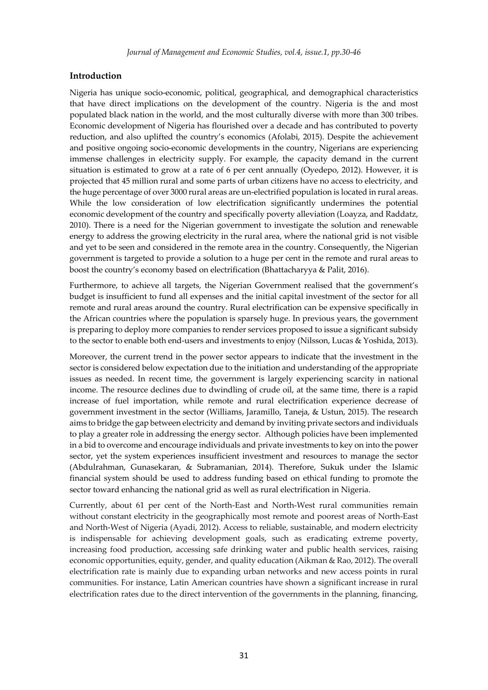## **Introduction**

Nigeria has unique socio-economic, political, geographical, and demographical characteristics that have direct implications on the development of the country. Nigeria is the and most populated black nation in the world, and the most culturally diverse with more than 300 tribes. Economic development of Nigeria has flourished over a decade and has contributed to poverty reduction, and also uplifted the country's economics (Afolabi, 2015). Despite the achievement and positive ongoing socio-economic developments in the country, Nigerians are experiencing immense challenges in electricity supply. For example, the capacity demand in the current situation is estimated to grow at a rate of 6 per cent annually (Oyedepo, 2012). However, it is projected that 45 million rural and some parts of urban citizens have no access to electricity, and the huge percentage of over 3000 rural areas are un-electrified population is located in rural areas. While the low consideration of low electrification significantly undermines the potential economic development of the country and specifically poverty alleviation (Loayza, and Raddatz, 2010). There is a need for the Nigerian government to investigate the solution and renewable energy to address the growing electricity in the rural area, where the national grid is not visible and yet to be seen and considered in the remote area in the country. Consequently, the Nigerian government is targeted to provide a solution to a huge per cent in the remote and rural areas to boost the country's economy based on electrification (Bhattacharyya & Palit, 2016).

Furthermore, to achieve all targets, the Nigerian Government realised that the government's budget is insufficient to fund all expenses and the initial capital investment of the sector for all remote and rural areas around the country. Rural electrification can be expensive specifically in the African countries where the population is sparsely huge. In previous years, the government is preparing to deploy more companies to render services proposed to issue a significant subsidy to the sector to enable both end-users and investments to enjoy (Nilsson, Lucas & Yoshida, 2013).

Moreover, the current trend in the power sector appears to indicate that the investment in the sector is considered below expectation due to the initiation and understanding of the appropriate issues as needed. In recent time, the government is largely experiencing scarcity in national income. The resource declines due to dwindling of crude oil, at the same time, there is a rapid increase of fuel importation, while remote and rural electrification experience decrease of government investment in the sector (Williams, Jaramillo, Taneja, & Ustun, 2015). The research aims to bridge the gap between electricity and demand by inviting private sectors and individuals to play a greater role in addressing the energy sector. Although policies have been implemented in a bid to overcome and encourage individuals and private investments to key on into the power sector, yet the system experiences insufficient investment and resources to manage the sector (Abdulrahman, Gunasekaran, & Subramanian, 2014). Therefore, Sukuk under the Islamic financial system should be used to address funding based on ethical funding to promote the sector toward enhancing the national grid as well as rural electrification in Nigeria.

Currently, about 61 per cent of the North-East and North-West rural communities remain without constant electricity in the geographically most remote and poorest areas of North-East and North-West of Nigeria (Ayadi, 2012). Access to reliable, sustainable, and modern electricity is indispensable for achieving development goals, such as eradicating extreme poverty, increasing food production, accessing safe drinking water and public health services, raising economic opportunities, equity, gender, and quality education (Aikman & Rao, 2012). The overall electrification rate is mainly due to expanding urban networks and new access points in rural communities. For instance, Latin American countries have shown a significant increase in rural electrification rates due to the direct intervention of the governments in the planning, financing,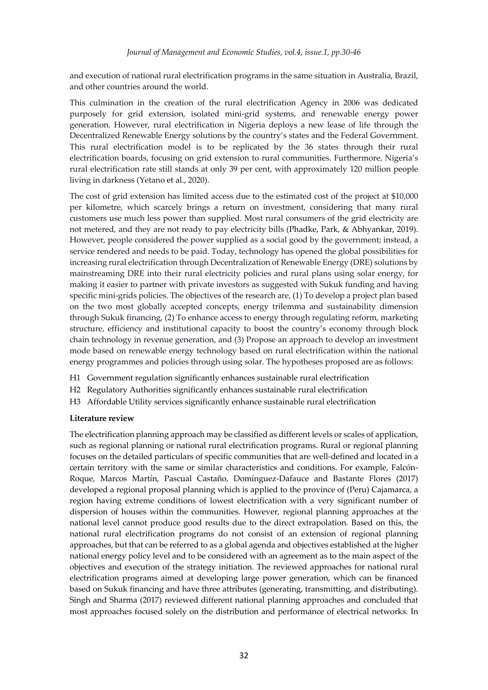and execution of national rural electrification programs in the same situation in Australia, Brazil, and other countries around the world.

This culmination in the creation of the rural electrification Agency in 2006 was dedicated purposely for grid extension, isolated mini-grid systems, and renewable energy power generation. However, rural electrification in Nigeria deploys a new lease of life through the Decentralized Renewable Energy solutions by the country's states and the Federal Government. This rural electrification model is to be replicated by the 36 states through their rural electrification boards, focusing on grid extension to rural communities. Furthermore, Nigeria's rural electrification rate still stands at only 39 per cent, with approximately 120 million people living in darkness (Yetano et al., 2020).

The cost of grid extension has limited access due to the estimated cost of the project at \$10,000 per kilometre, which scarcely brings a return on investment, considering that many rural customers use much less power than supplied. Most rural consumers of the grid electricity are not metered, and they are not ready to pay electricity bills (Phadke, Park, & Abhyankar, 2019). However, people considered the power supplied as a social good by the government; instead, a service rendered and needs to be paid. Today, technology has opened the global possibilities for increasing rural electrification through Decentralization of Renewable Energy (DRE) solutions by mainstreaming DRE into their rural electricity policies and rural plans using solar energy, for making it easier to partner with private investors as suggested with Sukuk funding and having specific mini-grids policies. The objectives of the research are, (1) To develop a project plan based on the two most globally accepted concepts, energy trilemma and sustainability dimension through Sukuk financing, (2) To enhance access to energy through regulating reform, marketing structure, efficiency and institutional capacity to boost the country's economy through block chain technology in revenue generation, and (3) Propose an approach to develop an investment mode based on renewable energy technology based on rural electrification within the national energy programmes and policies through using solar. The hypotheses proposed are as follows:

- H1 Government regulation significantly enhances sustainable rural electrification
- H2 Regulatory Authorities significantly enhances sustainable rural electrification
- H3 Affordable Utility services significantly enhance sustainable rural electrification

#### **Literature review**

The electrification planning approach may be classified as different levels or scales of application, such as regional planning or national rural electrification programs. Rural or regional planning focuses on the detailed particulars of specific communities that are well-defined and located in a certain territory with the same or similar characteristics and conditions. For example, Falcón-Roque, Marcos Martín, Pascual Castaño, Domínguez-Dafauce and Bastante Flores (2017) developed a regional proposal planning which is applied to the province of (Peru) Cajamarca, a region having extreme conditions of lowest electrification with a very significant number of dispersion of houses within the communities. However, regional planning approaches at the national level cannot produce good results due to the direct extrapolation. Based on this, the national rural electrification programs do not consist of an extension of regional planning approaches, but that can be referred to as a global agenda and objectives established at the higher national energy policy level and to be considered with an agreement as to the main aspect of the objectives and execution of the strategy initiation. The reviewed approaches for national rural electrification programs aimed at developing large power generation, which can be financed based on Sukuk financing and have three attributes (generating, transmitting, and distributing). Singh and Sharma (2017) reviewed different national planning approaches and concluded that most approaches focused solely on the distribution and performance of electrical networks. In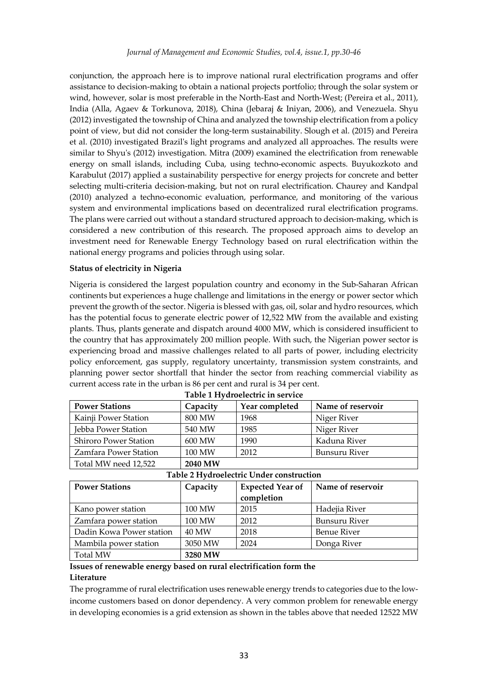conjunction, the approach here is to improve national rural electrification programs and offer assistance to decision-making to obtain a national projects portfolio; through the solar system or wind, however, solar is most preferable in the North-East and North-West; (Pereira et al., 2011), India (Alla, Agaev & Torkunova, 2018), China (Jebaraj & Iniyan, 2006), and Venezuela. Shyu (2012) investigated the township of China and analyzed the township electrification from a policy point of view, but did not consider the long-term sustainability. Slough et al. (2015) and Pereira et al. (2010) investigated Brazil's light programs and analyzed all approaches. The results were similar to Shyu's (2012) investigation. Mitra (2009) examined the electrification from renewable energy on small islands, including Cuba, using techno-economic aspects. Buyukozkoto and Karabulut (2017) applied a sustainability perspective for energy projects for concrete and better selecting multi-criteria decision-making, but not on rural electrification. Chaurey and Kandpal (2010) analyzed a techno-economic evaluation, performance, and monitoring of the various system and environmental implications based on decentralized rural electrification programs. The plans were carried out without a standard structured approach to decision-making, which is considered a new contribution of this research. The proposed approach aims to develop an investment need for Renewable Energy Technology based on rural electrification within the national energy programs and policies through using solar.

## **Status of electricity in Nigeria**

Nigeria is considered the largest population country and economy in the Sub-Saharan African continents but experiences a huge challenge and limitations in the energy or power sector which prevent the growth of the sector. Nigeria is blessed with gas, oil, solar and hydro resources, which has the potential focus to generate electric power of 12,522 MW from the available and existing plants. Thus, plants generate and dispatch around 4000 MW, which is considered insufficient to the country that has approximately 200 million people. With such, the Nigerian power sector is experiencing broad and massive challenges related to all parts of power, including electricity policy enforcement, gas supply, regulatory uncertainty, transmission system constraints, and planning power sector shortfall that hinder the sector from reaching commercial viability as current access rate in the urban is 86 per cent and rural is 34 per cent.

| Table I Hydrochethic in Scryhet |          |                |                   |  |  |  |
|---------------------------------|----------|----------------|-------------------|--|--|--|
| <b>Power Stations</b>           | Capacity | Year completed | Name of reservoir |  |  |  |
| Kainji Power Station            | 800 MW   | 1968           | Niger River       |  |  |  |
| Jebba Power Station             | 540 MW   | 1985           | Niger River       |  |  |  |
| <b>Shiroro Power Station</b>    | 600 MW   | 1990           | Kaduna River      |  |  |  |
| Zamfara Power Station           | 100 MW   | 2012           | Bunsuru River     |  |  |  |
| Total MW need 12,522            | 2040 MW  |                |                   |  |  |  |

|  | Table I Hydroelectric in service |  |  |
|--|----------------------------------|--|--|
|  |                                  |  |  |

**Table 1 Hydroelectric in service**

|  |  | Table 2 Hydroelectric Under construction |
|--|--|------------------------------------------|
|  |  |                                          |

| <b>Power Stations</b>    | Capacity | <b>Expected Year of</b><br>completion | Name of reservoir  |
|--------------------------|----------|---------------------------------------|--------------------|
| Kano power station       | 100 MW   | 2015                                  | Hadejia River      |
| Zamfara power station    | 100 MW   | 2012                                  | Bunsuru River      |
| Dadin Kowa Power station | 40 MW    | 2018                                  | <b>Benue River</b> |
| Mambila power station    | 3050 MW  | 2024                                  | Donga River        |
| <b>Total MW</b>          | 3280 MW  |                                       |                    |

#### **Issues of renewable energy based on rural electrification form the Literature**

The programme of rural electrification uses renewable energy trends to categories due to the lowincome customers based on donor dependency. A very common problem for renewable energy in developing economies is a grid extension as shown in the tables above that needed 12522 MW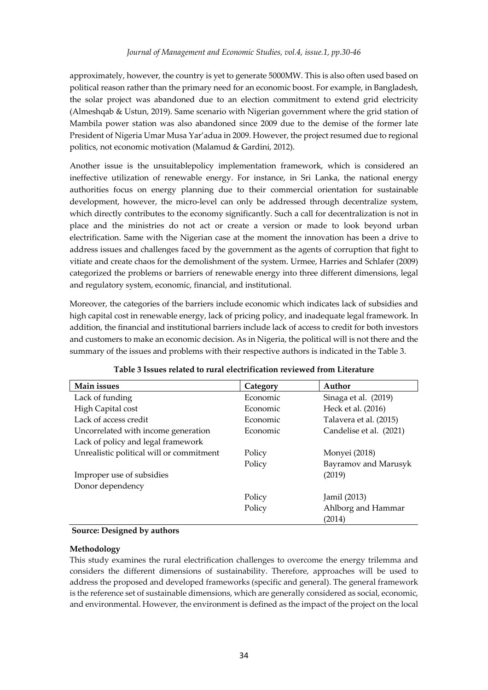approximately, however, the country is yet to generate 5000MW. This is also often used based on political reason rather than the primary need for an economic boost. For example, in Bangladesh, the solar project was abandoned due to an election commitment to extend grid electricity (Almeshqab & Ustun, 2019). Same scenario with Nigerian government where the grid station of Mambila power station was also abandoned since 2009 due to the demise of the former late President of Nigeria Umar Musa Yar'adua in 2009. However, the project resumed due to regional politics, not economic motivation (Malamud & Gardini, 2012).

Another issue is the unsuitablepolicy implementation framework, which is considered an ineffective utilization of renewable energy. For instance, in Sri Lanka, the national energy authorities focus on energy planning due to their commercial orientation for sustainable development, however, the micro-level can only be addressed through decentralize system, which directly contributes to the economy significantly. Such a call for decentralization is not in place and the ministries do not act or create a version or made to look beyond urban electrification. Same with the Nigerian case at the moment the innovation has been a drive to address issues and challenges faced by the government as the agents of corruption that fight to vitiate and create chaos for the demolishment of the system. Urmee, Harries and Schlafer (2009) categorized the problems or barriers of renewable energy into three different dimensions, legal and regulatory system, economic, financial, and institutional.

Moreover, the categories of the barriers include economic which indicates lack of subsidies and high capital cost in renewable energy, lack of pricing policy, and inadequate legal framework. In addition, the financial and institutional barriers include lack of access to credit for both investors and customers to make an economic decision. As in Nigeria, the political will is not there and the summary of the issues and problems with their respective authors is indicated in the Table 3.

| Main issues                              | Category | Author                  |
|------------------------------------------|----------|-------------------------|
| Lack of funding                          | Economic | Sinaga et al. (2019)    |
| High Capital cost                        | Economic | Heck et al. (2016)      |
| Lack of access credit                    | Economic | Talavera et al. (2015)  |
| Uncorrelated with income generation      | Economic | Candelise et al. (2021) |
| Lack of policy and legal framework       |          |                         |
| Unrealistic political will or commitment | Policy   | Monyei (2018)           |
|                                          | Policy   | Bayramov and Marusyk    |
| Improper use of subsidies                |          | (2019)                  |
| Donor dependency                         |          |                         |
|                                          | Policy   | Jamil (2013)            |
|                                          | Policy   | Ahlborg and Hammar      |
|                                          |          | (2014)                  |

**Table 3 Issues related to rural electrification reviewed from Literature**

## **Source: Designed by authors**

## **Methodology**

This study examines the rural electrification challenges to overcome the energy trilemma and considers the different dimensions of sustainability. Therefore, approaches will be used to address the proposed and developed frameworks (specific and general). The general framework is the reference set of sustainable dimensions, which are generally considered as social, economic, and environmental. However, the environment is defined as the impact of the project on the local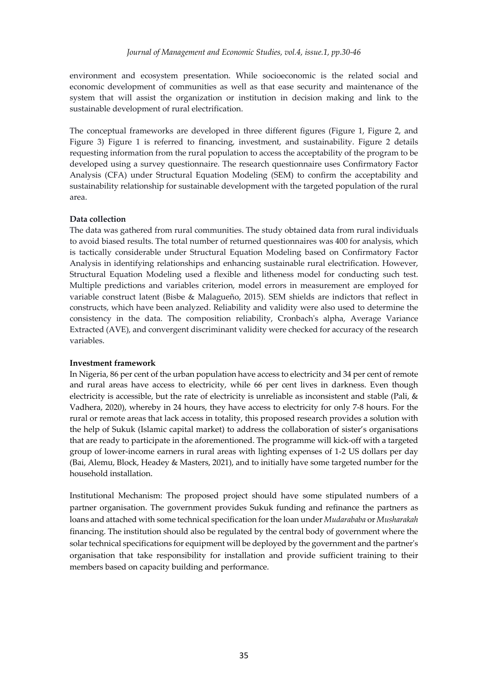environment and ecosystem presentation. While socioeconomic is the related social and economic development of communities as well as that ease security and maintenance of the system that will assist the organization or institution in decision making and link to the sustainable development of rural electrification.

The conceptual frameworks are developed in three different figures (Figure 1, Figure 2, and Figure 3) Figure 1 is referred to financing, investment, and sustainability. Figure 2 details requesting information from the rural population to access the acceptability of the program to be developed using a survey questionnaire. The research questionnaire uses Confirmatory Factor Analysis (CFA) under Structural Equation Modeling (SEM) to confirm the acceptability and sustainability relationship for sustainable development with the targeted population of the rural area.

#### **Data collection**

The data was gathered from rural communities. The study obtained data from rural individuals to avoid biased results. The total number of returned questionnaires was 400 for analysis, which is tactically considerable under Structural Equation Modeling based on Confirmatory Factor Analysis in identifying relationships and enhancing sustainable rural electrification. However, Structural Equation Modeling used a flexible and litheness model for conducting such test. Multiple predictions and variables criterion, model errors in measurement are employed for variable construct latent (Bisbe & Malagueño, 2015). SEM shields are indictors that reflect in constructs, which have been analyzed. Reliability and validity were also used to determine the consistency in the data. The composition reliability, Cronbach's alpha, Average Variance Extracted (AVE), and convergent discriminant validity were checked for accuracy of the research variables.

#### **Investment framework**

In Nigeria, 86 per cent of the urban population have access to electricity and 34 per cent of remote and rural areas have access to electricity, while 66 per cent lives in darkness. Even though electricity is accessible, but the rate of electricity is unreliable as inconsistent and stable (Pali, & Vadhera, 2020), whereby in 24 hours, they have access to electricity for only 7-8 hours. For the rural or remote areas that lack access in totality, this proposed research provides a solution with the help of Sukuk (Islamic capital market) to address the collaboration of sister's organisations that are ready to participate in the aforementioned. The programme will kick-off with a targeted group of lower-income earners in rural areas with lighting expenses of 1-2 US dollars per day (Bai, Alemu, Block, Headey & Masters, 2021), and to initially have some targeted number for the household installation.

Institutional Mechanism: The proposed project should have some stipulated numbers of a partner organisation. The government provides Sukuk funding and refinance the partners as loans and attached with some technical specification for the loan under *Mudarababa* or *Musharakah* financing. The institution should also be regulated by the central body of government where the solar technical specifications for equipment will be deployed by the government and the partner's organisation that take responsibility for installation and provide sufficient training to their members based on capacity building and performance.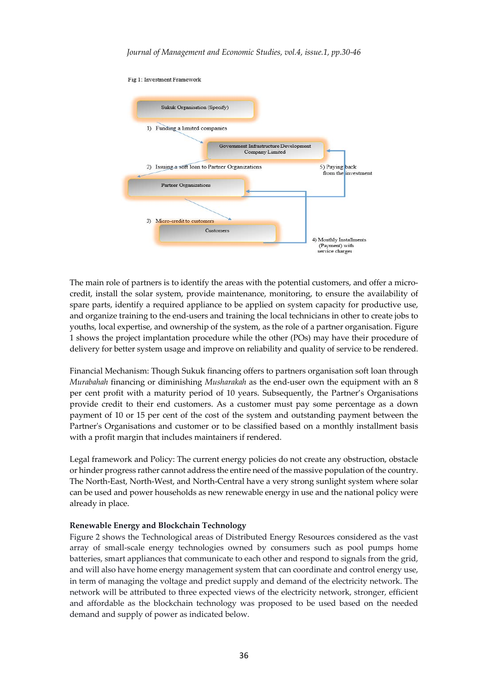

The main role of partners is to identify the areas with the potential customers, and offer a microcredit, install the solar system, provide maintenance, monitoring, to ensure the availability of spare parts, identify a required appliance to be applied on system capacity for productive use, and organize training to the end-users and training the local technicians in other to create jobs to youths, local expertise, and ownership of the system, as the role of a partner organisation. Figure 1 shows the project implantation procedure while the other (POs) may have their procedure of delivery for better system usage and improve on reliability and quality of service to be rendered.

Financial Mechanism: Though Sukuk financing offers to partners organisation soft loan through *Murabahah* financing or diminishing *Musharakah* as the end-user own the equipment with an 8 per cent profit with a maturity period of 10 years. Subsequently, the Partner's Organisations provide credit to their end customers. As a customer must pay some percentage as a down payment of 10 or 15 per cent of the cost of the system and outstanding payment between the Partner's Organisations and customer or to be classified based on a monthly installment basis with a profit margin that includes maintainers if rendered.

Legal framework and Policy: The current energy policies do not create any obstruction, obstacle or hinder progress rather cannot address the entire need of the massive population of the country. The North-East, North-West, and North-Central have a very strong sunlight system where solar can be used and power households as new renewable energy in use and the national policy were already in place.

## **Renewable Energy and Blockchain Technology**

Figure 2 shows the Technological areas of Distributed Energy Resources considered as the vast array of small-scale energy technologies owned by consumers such as pool pumps home batteries, smart appliances that communicate to each other and respond to signals from the grid, and will also have home energy management system that can coordinate and control energy use, in term of managing the voltage and predict supply and demand of the electricity network. The network will be attributed to three expected views of the electricity network, stronger, efficient and affordable as the blockchain technology was proposed to be used based on the needed demand and supply of power as indicated below.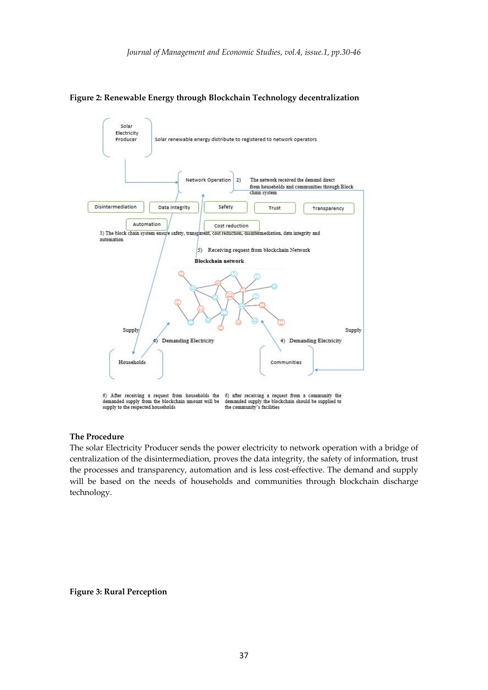

**Figure 2: Renewable Energy through Blockchain Technology decentralization**

#### **The Procedure**

The solar Electricity Producer sends the power electricity to network operation with a bridge of centralization of the disintermediation, proves the data integrity, the safety of information, trust the processes and transparency, automation and is less cost-effective. The demand and supply will be based on the needs of households and communities through blockchain discharge technology.

#### **Figure 3: Rural Perception**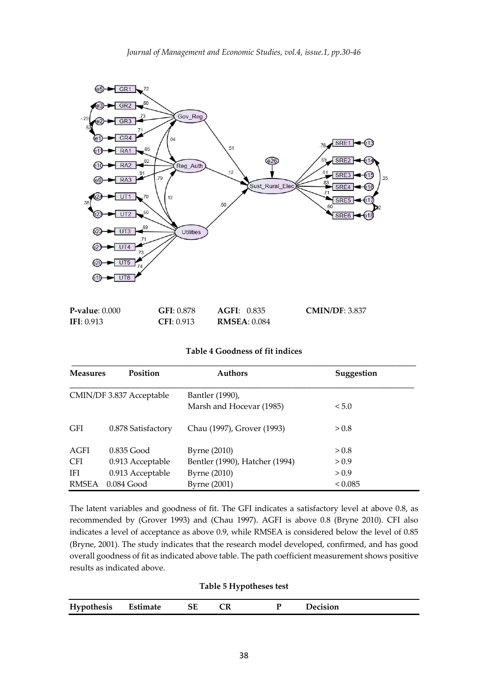

| $P-value: 0.000$ | GFI: 0.878 | AGFI: 0.835          | CMIN/DF: 3.837 |
|------------------|------------|----------------------|----------------|
| IFI: $0.913$     | CFI: 0.913 | <b>RMSEA</b> : 0.084 |                |

### **Table 4 Goodness of fit indices**

| <b>Measures</b> | <b>Position</b>          | <b>Authors</b>                 | Suggestion |
|-----------------|--------------------------|--------------------------------|------------|
|                 | CMIN/DF 3.837 Acceptable | Bantler (1990),                |            |
|                 |                          | Marsh and Hocevar (1985)       | < 5.0      |
| <b>GFI</b>      | 0.878 Satisfactory       | Chau (1997), Grover (1993)     | > 0.8      |
| AGFI            | $0.835$ Good             | Byrne (2010)                   | > 0.8      |
| <b>CFI</b>      | 0.913 Acceptable         | Bentler (1990), Hatcher (1994) | > 0.9      |
| <b>IFI</b>      | 0.913 Acceptable         | Byrne (2010)                   | > 0.9      |
| <b>RMSEA</b>    | $0.084$ Good             | Byrne (2001)                   | < 0.085    |

The latent variables and goodness of fit. The GFI indicates a satisfactory level at above 0.8, as recommended by (Grover 1993) and (Chau 1997). AGFI is above 0.8 (Bryne 2010). CFI also indicates a level of acceptance as above 0.9, while RMSEA is considered below the level of 0.85 (Bryne, 2001). The study indicates that the research model developed, confirmed, and has good overall goodness of fit as indicated above table. The path coefficient measurement shows positive results as indicated above.

## **Table 5 Hypotheses test**

| Hypothesis | Estimate | ЭE | ◡ | <i>decision</i> |  |
|------------|----------|----|---|-----------------|--|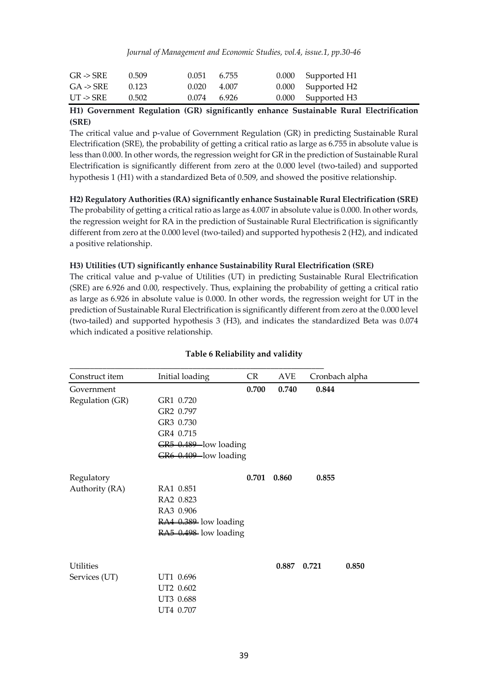*Journal of Management and Economic Studies, vol.4, issue.1, pp.30-46*

| $GR \rightarrow SRE$ | 0.509 | $0.051$ 6.755   | 0.000 Supported H1 |
|----------------------|-------|-----------------|--------------------|
| $GA \rightarrow SRE$ | 0.123 | 0.020<br>-4.007 | 0.000 Supported H2 |
| $UT \rightarrow SRE$ | 0.502 | $0.074$ 6.926   | 0.000 Supported H3 |

## **H1) Government Regulation (GR) significantly enhance Sustainable Rural Electrification (SRE)**

The critical value and p-value of Government Regulation (GR) in predicting Sustainable Rural Electrification (SRE), the probability of getting a critical ratio as large as 6.755 in absolute value is less than 0.000. In other words, the regression weight for GR in the prediction of Sustainable Rural Electrification is significantly different from zero at the 0.000 level (two-tailed) and supported hypothesis 1 (H1) with a standardized Beta of 0.509, and showed the positive relationship.

**H2) Regulatory Authorities (RA) significantly enhance Sustainable Rural Electrification (SRE)** The probability of getting a critical ratio as large as 4.007 in absolute value is 0.000. In other words, the regression weight for RA in the prediction of Sustainable Rural Electrification is significantly different from zero at the 0.000 level (two-tailed) and supported hypothesis 2 (H2), and indicated a positive relationship.

## **H3) Utilities (UT) significantly enhance Sustainability Rural Electrification (SRE)**

The critical value and p-value of Utilities (UT) in predicting Sustainable Rural Electrification (SRE) are 6.926 and 0.00, respectively. Thus, explaining the probability of getting a critical ratio as large as 6.926 in absolute value is 0.000. In other words, the regression weight for UT in the prediction of Sustainable Rural Electrification is significantly different from zero at the 0.000 level (two-tailed) and supported hypothesis 3 (H3), and indicates the standardized Beta was 0.074 which indicated a positive relationship.

| Construct item   | Initial loading       | CR    | AVE   | Cronbach alpha |       |
|------------------|-----------------------|-------|-------|----------------|-------|
| Government       |                       | 0.700 | 0.740 | 0.844          |       |
| Regulation (GR)  | GR1 0.720             |       |       |                |       |
|                  | GR2 0.797             |       |       |                |       |
|                  | GR3 0.730             |       |       |                |       |
|                  | GR4 0.715             |       |       |                |       |
|                  | GR5 0.489-low loading |       |       |                |       |
|                  | GR6 0.409-low loading |       |       |                |       |
| Regulatory       |                       | 0.701 | 0.860 | 0.855          |       |
| Authority (RA)   | RA1 0.851             |       |       |                |       |
|                  | RA2 0.823             |       |       |                |       |
|                  | RA3 0.906             |       |       |                |       |
|                  | RA4 0.389 low loading |       |       |                |       |
|                  | $R498$ low loading    |       |       |                |       |
| <b>Utilities</b> |                       |       | 0.887 | 0.721          | 0.850 |
| Services (UT)    | UT1 0.696             |       |       |                |       |
|                  | UT2 0.602             |       |       |                |       |
|                  | UT3 0.688             |       |       |                |       |
|                  | UT4 0.707             |       |       |                |       |
|                  |                       |       |       |                |       |

## **Table 6 Reliability and validity**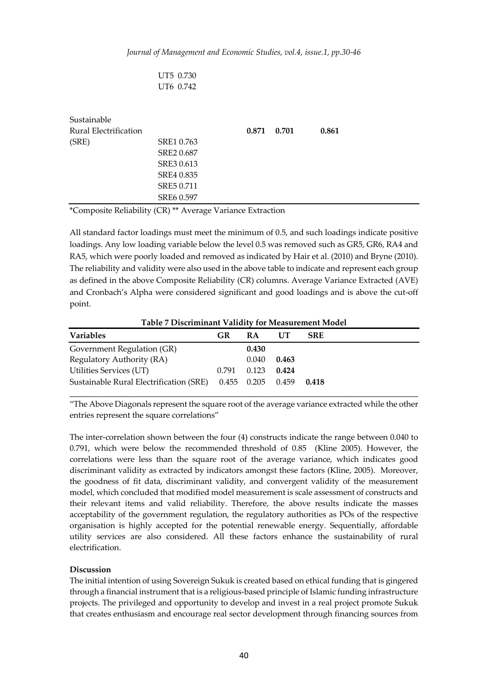| UT5 0.730 |
|-----------|
| UT6 0.742 |

| Sustainable<br>Rural Electrification |            | 0.871 | 0.701 | 0.861 |
|--------------------------------------|------------|-------|-------|-------|
| (SRE)                                | SRE1 0.763 |       |       |       |
|                                      | SRE2 0.687 |       |       |       |
|                                      | SRE3 0.613 |       |       |       |
|                                      | SRE4 0.835 |       |       |       |
|                                      | SRE5 0.711 |       |       |       |
|                                      | SRE6 0.597 |       |       |       |

\*Composite Reliability (CR) \*\* Average Variance Extraction

All standard factor loadings must meet the minimum of 0.5, and such loadings indicate positive loadings. Any low loading variable below the level 0.5 was removed such as GR5, GR6, RA4 and RA5, which were poorly loaded and removed as indicated by Hair et al. (2010) and Bryne (2010). The reliability and validity were also used in the above table to indicate and represent each group as defined in the above Composite Reliability (CR) columns. Average Variance Extracted (AVE) and Cronbach's Alpha were considered significant and good loadings and is above the cut-off point.

**Table 7 Discriminant Validity for Measurement Model**

| <b>Variables</b>                                          | GR    | <b>RA</b> | UT    | <b>SRE</b> |
|-----------------------------------------------------------|-------|-----------|-------|------------|
| Government Regulation (GR)                                |       | 0.430     |       |            |
| Regulatory Authority (RA)                                 |       | 0.040     | 0.463 |            |
| Utilities Services (UT)                                   | 0.791 | 0.123     | 0.424 |            |
| Sustainable Rural Electrification (SRE) 0.455 0.205 0.459 |       |           |       | 0.418      |

"The Above Diagonals represent the square root of the average variance extracted while the other entries represent the square correlations"

The inter-correlation shown between the four (4) constructs indicate the range between 0.040 to 0.791, which were below the recommended threshold of 0.85 (Kline 2005). However, the correlations were less than the square root of the average variance, which indicates good discriminant validity as extracted by indicators amongst these factors (Kline, 2005). Moreover, the goodness of fit data, discriminant validity, and convergent validity of the measurement model, which concluded that modified model measurement is scale assessment of constructs and their relevant items and valid reliability. Therefore, the above results indicate the masses acceptability of the government regulation, the regulatory authorities as POs of the respective organisation is highly accepted for the potential renewable energy. Sequentially, affordable utility services are also considered. All these factors enhance the sustainability of rural electrification.

#### **Discussion**

The initial intention of using Sovereign Sukuk is created based on ethical funding that is gingered through a financial instrument that is a religious-based principle of Islamic funding infrastructure projects. The privileged and opportunity to develop and invest in a real project promote Sukuk that creates enthusiasm and encourage real sector development through financing sources from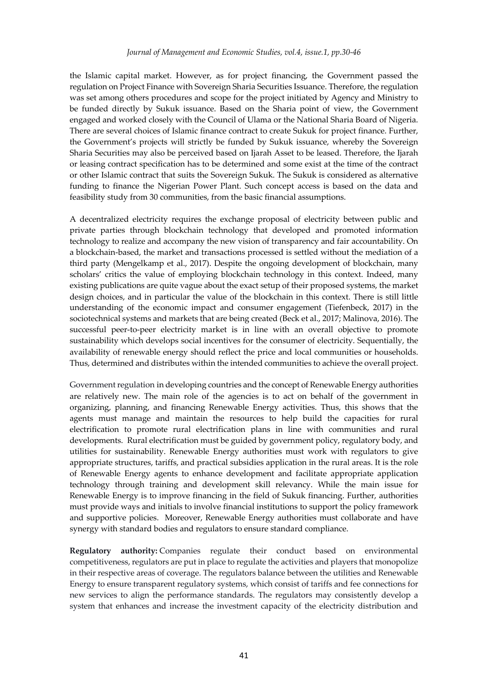#### *Journal of Management and Economic Studies, vol.4, issue.1, pp.30-46*

the Islamic capital market. However, as for project financing, the Government passed the regulation on Project Finance with Sovereign Sharia Securities Issuance. Therefore, the regulation was set among others procedures and scope for the project initiated by Agency and Ministry to be funded directly by Sukuk issuance. Based on the Sharia point of view, the Government engaged and worked closely with the Council of Ulama or the National Sharia Board of Nigeria. There are several choices of Islamic finance contract to create Sukuk for project finance. Further, the Government's projects will strictly be funded by Sukuk issuance, whereby the Sovereign Sharia Securities may also be perceived based on Ijarah Asset to be leased. Therefore, the Ijarah or leasing contract specification has to be determined and some exist at the time of the contract or other Islamic contract that suits the Sovereign Sukuk. The Sukuk is considered as alternative funding to finance the Nigerian Power Plant. Such concept access is based on the data and feasibility study from 30 communities, from the basic financial assumptions.

A decentralized electricity requires the exchange proposal of electricity between public and private parties through blockchain technology that developed and promoted information technology to realize and accompany the new vision of transparency and fair accountability. On a blockchain-based, the market and transactions processed is settled without the mediation of a third party (Mengelkamp et al., 2017). Despite the ongoing development of blockchain, many scholars' critics the value of employing blockchain technology in this context. Indeed, many existing publications are quite vague about the exact setup of their proposed systems, the market design choices, and in particular the value of the blockchain in this context. There is still little understanding of the economic impact and consumer engagement (Tiefenbeck, 2017) in the sociotechnical systems and markets that are being created (Beck et al., 2017; Malinova, 2016). The successful peer-to-peer electricity market is in line with an overall objective to promote sustainability which develops social incentives for the consumer of electricity. Sequentially, the availability of renewable energy should reflect the price and local communities or households. Thus, determined and distributes within the intended communities to achieve the overall project.

Government regulation in developing countries and the concept of Renewable Energy authorities are relatively new. The main role of the agencies is to act on behalf of the government in organizing, planning, and financing Renewable Energy activities. Thus, this shows that the agents must manage and maintain the resources to help build the capacities for rural electrification to promote rural electrification plans in line with communities and rural developments. Rural electrification must be guided by government policy, regulatory body, and utilities for sustainability. Renewable Energy authorities must work with regulators to give appropriate structures, tariffs, and practical subsidies application in the rural areas. It is the role of Renewable Energy agents to enhance development and facilitate appropriate application technology through training and development skill relevancy. While the main issue for Renewable Energy is to improve financing in the field of Sukuk financing. Further, authorities must provide ways and initials to involve financial institutions to support the policy framework and supportive policies. Moreover, Renewable Energy authorities must collaborate and have synergy with standard bodies and regulators to ensure standard compliance.

**Regulatory authority:** Companies regulate their conduct based on environmental competitiveness, regulators are put in place to regulate the activities and players that monopolize in their respective areas of coverage. The regulators balance between the utilities and Renewable Energy to ensure transparent regulatory systems, which consist of tariffs and fee connections for new services to align the performance standards. The regulators may consistently develop a system that enhances and increase the investment capacity of the electricity distribution and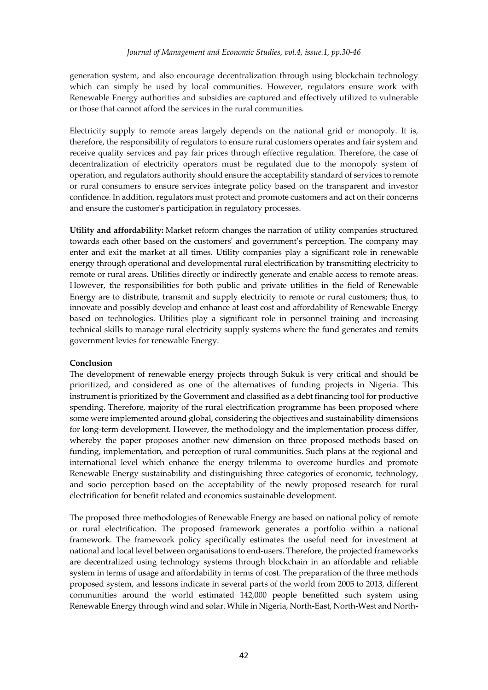generation system, and also encourage decentralization through using blockchain technology which can simply be used by local communities. However, regulators ensure work with Renewable Energy authorities and subsidies are captured and effectively utilized to vulnerable or those that cannot afford the services in the rural communities.

Electricity supply to remote areas largely depends on the national grid or monopoly. It is, therefore, the responsibility of regulators to ensure rural customers operates and fair system and receive quality services and pay fair prices through effective regulation. Therefore, the case of decentralization of electricity operators must be regulated due to the monopoly system of operation, and regulators authority should ensure the acceptability standard of services to remote or rural consumers to ensure services integrate policy based on the transparent and investor confidence. In addition, regulators must protect and promote customers and act on their concerns and ensure the customer's participation in regulatory processes.

**Utility and affordability:** Market reform changes the narration of utility companies structured towards each other based on the customers' and government's perception. The company may enter and exit the market at all times. Utility companies play a significant role in renewable energy through operational and developmental rural electrification by transmitting electricity to remote or rural areas. Utilities directly or indirectly generate and enable access to remote areas. However, the responsibilities for both public and private utilities in the field of Renewable Energy are to distribute, transmit and supply electricity to remote or rural customers; thus, to innovate and possibly develop and enhance at least cost and affordability of Renewable Energy based on technologies. Utilities play a significant role in personnel training and increasing technical skills to manage rural electricity supply systems where the fund generates and remits government levies for renewable Energy.

#### **Conclusion**

The development of renewable energy projects through Sukuk is very critical and should be prioritized, and considered as one of the alternatives of funding projects in Nigeria. This instrument is prioritized by the Government and classified as a debt financing tool for productive spending. Therefore, majority of the rural electrification programme has been proposed where some were implemented around global, considering the objectives and sustainability dimensions for long-term development. However, the methodology and the implementation process differ, whereby the paper proposes another new dimension on three proposed methods based on funding, implementation, and perception of rural communities. Such plans at the regional and international level which enhance the energy trilemma to overcome hurdles and promote Renewable Energy sustainability and distinguishing three categories of economic, technology, and socio perception based on the acceptability of the newly proposed research for rural electrification for benefit related and economics sustainable development.

The proposed three methodologies of Renewable Energy are based on national policy of remote or rural electrification. The proposed framework generates a portfolio within a national framework. The framework policy specifically estimates the useful need for investment at national and local level between organisations to end-users. Therefore, the projected frameworks are decentralized using technology systems through blockchain in an affordable and reliable system in terms of usage and affordability in terms of cost. The preparation of the three methods proposed system, and lessons indicate in several parts of the world from 2005 to 2013, different communities around the world estimated 142,000 people benefitted such system using Renewable Energy through wind and solar. While in Nigeria, North-East, North-West and North-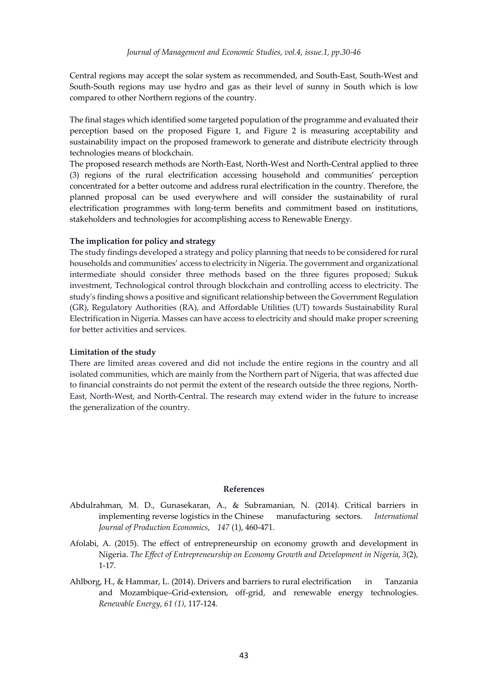Central regions may accept the solar system as recommended, and South-East, South-West and South-South regions may use hydro and gas as their level of sunny in South which is low compared to other Northern regions of the country.

The final stages which identified some targeted population of the programme and evaluated their perception based on the proposed Figure 1, and Figure 2 is measuring acceptability and sustainability impact on the proposed framework to generate and distribute electricity through technologies means of blockchain.

The proposed research methods are North-East, North-West and North-Central applied to three (3) regions of the rural electrification accessing household and communities' perception concentrated for a better outcome and address rural electrification in the country. Therefore, the planned proposal can be used everywhere and will consider the sustainability of rural electrification programmes with long-term benefits and commitment based on institutions, stakeholders and technologies for accomplishing access to Renewable Energy.

#### **The implication for policy and strategy**

The study findings developed a strategy and policy planning that needs to be considered for rural households and communities' access to electricity in Nigeria. The government and organizational intermediate should consider three methods based on the three figures proposed; Sukuk investment, Technological control through blockchain and controlling access to electricity. The study's finding shows a positive and significant relationship between the Government Regulation (GR), Regulatory Authorities (RA), and Affordable Utilities (UT) towards Sustainability Rural Electrification in Nigeria. Masses can have access to electricity and should make proper screening for better activities and services.

#### **Limitation of the study**

There are limited areas covered and did not include the entire regions in the country and all isolated communities, which are mainly from the Northern part of Nigeria, that was affected due to financial constraints do not permit the extent of the research outside the three regions, North-East, North-West, and North-Central. The research may extend wider in the future to increase the generalization of the country.

#### **References**

- Abdulrahman, M. D., Gunasekaran, A., & Subramanian, N. (2014). Critical barriers in implementing reverse logistics in the Chinese manufacturing sectors. *International Journal of Production Economics*, *147* (1), 460-471.
- Afolabi, A. (2015). The effect of entrepreneurship on economy growth and development in Nigeria. *The Effect of Entrepreneurship on Economy Growth and Development in Nigeria*, *3*(2), 1-17.
- Ahlborg, H., & Hammar, L. (2014). Drivers and barriers to rural electrification in Tanzania and Mozambique–Grid-extension, off-grid, and renewable energy technologies. *Renewable Energy*, *61 (1)*, 117-124.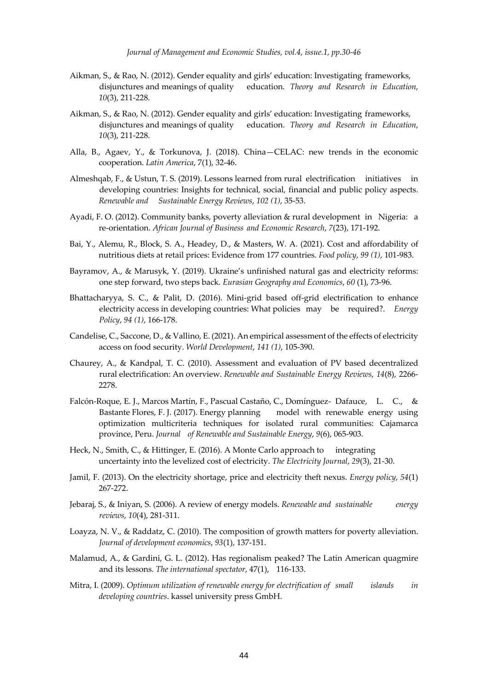- Aikman, S., & Rao, N. (2012). Gender equality and girls' education: Investigating frameworks, disjunctures and meanings of quality education. *Theory and Research in Education*, *10*(3), 211-228.
- Aikman, S., & Rao, N. (2012). Gender equality and girls' education: Investigating frameworks, disjunctures and meanings of quality education. *Theory and Research in Education*, *10*(3), 211-228.
- Alla, B., Agaev, Y., & Torkunova, J. (2018). China—CELAC: new trends in the economic cooperation. *Latin America*, 7(1), 32-46.
- Almeshqab, F., & Ustun, T. S. (2019). Lessons learned from rural electrification initiatives in developing countries: Insights for technical, social, financial and public policy aspects. *Renewable and Sustainable Energy Reviews*, *102 (1)*, 35-53.
- Ayadi, F. O. (2012). Community banks, poverty alleviation & rural development in Nigeria: a re-orientation. *African Journal of Business and Economic Research*, *7*(23), 171-192.
- Bai, Y., Alemu, R., Block, S. A., Headey, D., & Masters, W. A. (2021). Cost and affordability of nutritious diets at retail prices: Evidence from 177 countries. *Food policy*, *99 (1)*, 101-983.
- Bayramov, A., & Marusyk, Y. (2019). Ukraine's unfinished natural gas and electricity reforms: one step forward, two steps back. *Eurasian Geography and Economics*, *60* (1), 73-96.
- Bhattacharyya, S. C., & Palit, D. (2016). Mini-grid based off-grid electrification to enhance electricity access in developing countries: What policies may be required?. *Energy Policy*, *94 (1)*, 166-178.
- Candelise, C., Saccone, D., & Vallino, E. (2021). An empirical assessment of the effects of electricity access on food security. *World Development*, *141 (1)*, 105-390.
- Chaurey, A., & Kandpal, T. C. (2010). Assessment and evaluation of PV based decentralized rural electrification: An overview. *Renewable and Sustainable Energy Reviews*, *14*(8), 2266- 2278.
- Falcón-Roque, E. J., Marcos Martín, F., Pascual Castaño, C., Domínguez- Dafauce, L. C., & Bastante Flores, F. J. (2017). Energy planning model with renewable energy using optimization multicriteria techniques for isolated rural communities: Cajamarca province, Peru. *Journal of Renewable and Sustainable Energy*, *9*(6), 065-903.
- Heck, N., Smith, C., & Hittinger, E. (2016). A Monte Carlo approach to integrating uncertainty into the levelized cost of electricity. *The Electricity Journal*, *29*(3), 21-30.
- Jamil, F. (2013). On the electricity shortage, price and electricity theft nexus. *Energy policy*, *54*(1) 267-272.
- Jebaraj, S., & Iniyan, S. (2006). A review of energy models. *Renewable and sustainable energy reviews*, *10*(4), 281-311.
- Loayza, N. V., & Raddatz, C. (2010). The composition of growth matters for poverty alleviation. *Journal of development economics*, *93*(1), 137-151.
- Malamud, A., & Gardini, G. L. (2012). Has regionalism peaked? The Latin American quagmire and its lessons. *The international spectator*, 47(1), 116-133.
- Mitra, I. (2009). *Optimum utilization of renewable energy for electrification of small islands in developing countries*. kassel university press GmbH.